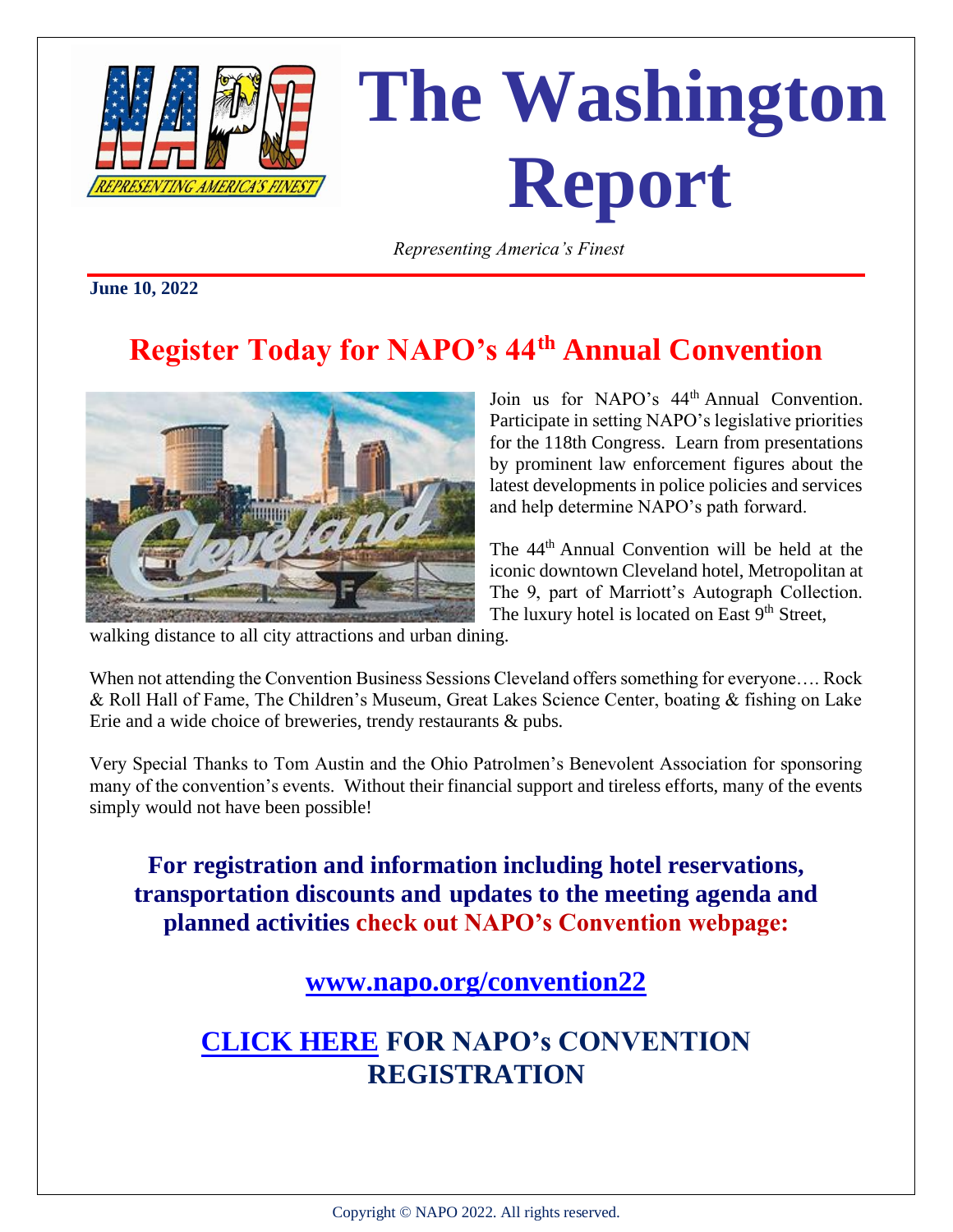

# **The Washington RepRESENTING AMERICA'S FINEST**

 *Representing America's Finest*

**June 10, 2022**

## **Register Today for NAPO's 44th Annual Convention**



Join us for NAPO's  $44<sup>th</sup>$  Annual Convention. Participate in setting NAPO's legislative priorities for the 118th Congress. Learn from presentations by prominent law enforcement figures about the latest developments in police policies and services and help determine NAPO's path forward.

The 44<sup>th</sup> Annual Convention will be held at the iconic downtown Cleveland hotel, Metropolitan at The 9, part of Marriott's Autograph Collection. The luxury hotel is located on East  $9<sup>th</sup>$  Street,

walking distance to all city attractions and urban dining.

When not attending the Convention Business Sessions Cleveland offers something for everyone…. Rock & Roll Hall of Fame, The Children's Museum, Great Lakes Science Center, boating & fishing on Lake Erie and a wide choice of breweries, trendy restaurants & pubs.

Very Special Thanks to Tom Austin and the Ohio Patrolmen's Benevolent Association for sponsoring many of the convention's events. Without their financial support and tireless efforts, many of the events simply would not have been possible!

**For registration and information including hotel reservations, transportation discounts and updates to the meeting agenda and planned activities check out NAPO's Convention webpage:**

**[www.napo.org/convention22](http://www.napo.org/convention22)**

#### **[CLICK HERE](https://www.napo.org/events/upcoming-events/44th-annual-convention/registration/) FOR NAPO's CONVENTION REGISTRATION**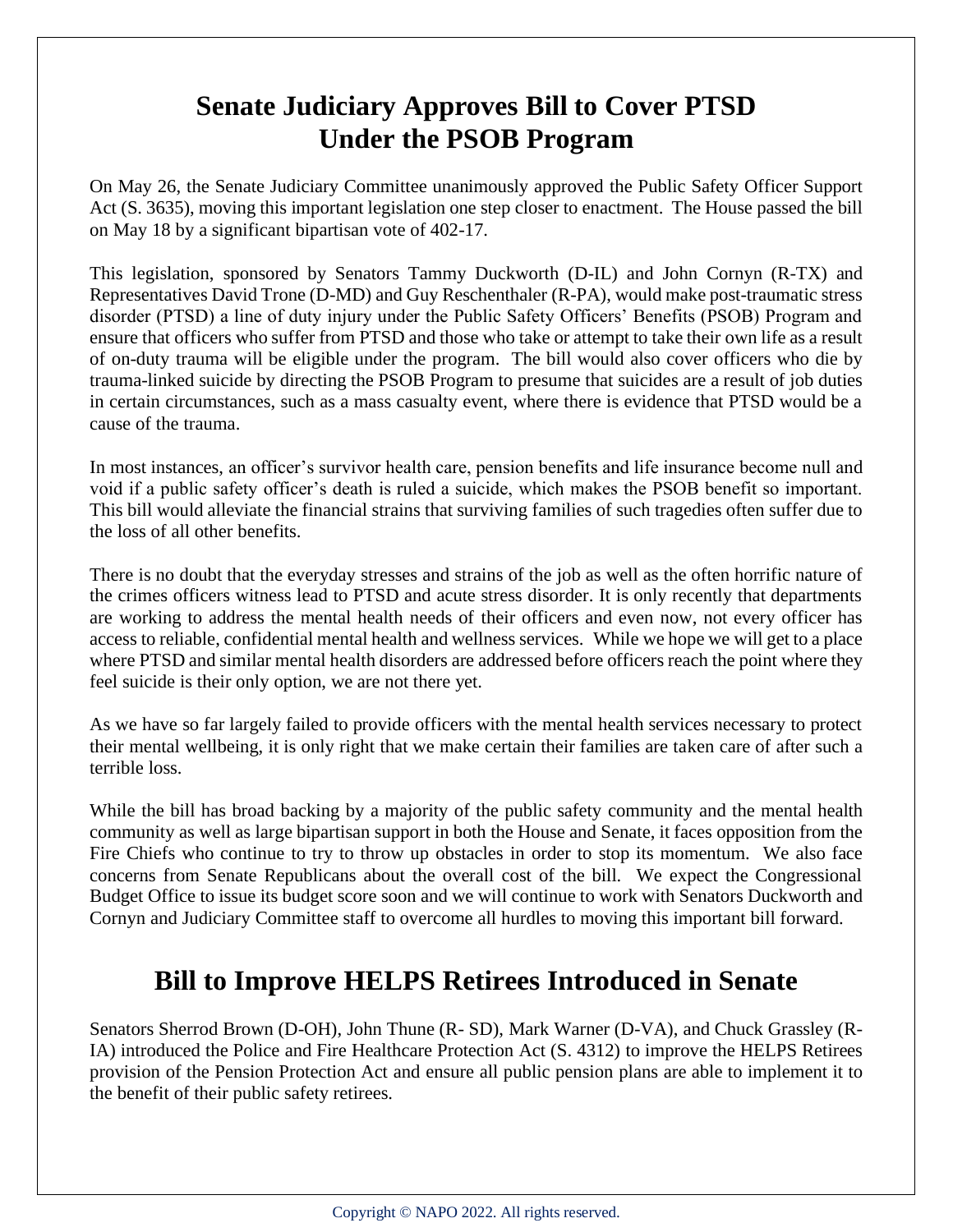#### **Senate Judiciary Approves Bill to Cover PTSD Under the PSOB Program**

On May 26, the Senate Judiciary Committee unanimously approved the Public Safety Officer Support Act (S. 3635), moving this important legislation one step closer to enactment. The House passed the bill on May 18 by a significant bipartisan vote of 402-17.

This legislation, sponsored by Senators Tammy Duckworth (D-IL) and John Cornyn (R-TX) and Representatives David Trone (D-MD) and Guy Reschenthaler (R-PA), would make post-traumatic stress disorder (PTSD) a line of duty injury under the Public Safety Officers' Benefits (PSOB) Program and ensure that officers who suffer from PTSD and those who take or attempt to take their own life as a result of on-duty trauma will be eligible under the program. The bill would also cover officers who die by trauma-linked suicide by directing the PSOB Program to presume that suicides are a result of job duties in certain circumstances, such as a mass casualty event, where there is evidence that PTSD would be a cause of the trauma.

In most instances, an officer's survivor health care, pension benefits and life insurance become null and void if a public safety officer's death is ruled a suicide, which makes the PSOB benefit so important. This bill would alleviate the financial strains that surviving families of such tragedies often suffer due to the loss of all other benefits.

There is no doubt that the everyday stresses and strains of the job as well as the often horrific nature of the crimes officers witness lead to PTSD and acute stress disorder. It is only recently that departments are working to address the mental health needs of their officers and even now, not every officer has access to reliable, confidential mental health and wellness services. While we hope we will get to a place where PTSD and similar mental health disorders are addressed before officers reach the point where they feel suicide is their only option, we are not there yet.

As we have so far largely failed to provide officers with the mental health services necessary to protect their mental wellbeing, it is only right that we make certain their families are taken care of after such a terrible loss.

While the bill has broad backing by a majority of the public safety community and the mental health community as well as large bipartisan support in both the House and Senate, it faces opposition from the Fire Chiefs who continue to try to throw up obstacles in order to stop its momentum. We also face concerns from Senate Republicans about the overall cost of the bill. We expect the Congressional Budget Office to issue its budget score soon and we will continue to work with Senators Duckworth and Cornyn and Judiciary Committee staff to overcome all hurdles to moving this important bill forward.

#### **Bill to Improve HELPS Retirees Introduced in Senate**

Senators Sherrod Brown (D-OH), John Thune (R- SD), Mark Warner (D-VA), and Chuck Grassley (R-IA) introduced the Police and Fire Healthcare Protection Act (S. 4312) to improve the HELPS Retirees provision of the Pension Protection Act and ensure all public pension plans are able to implement it to the benefit of their public safety retirees.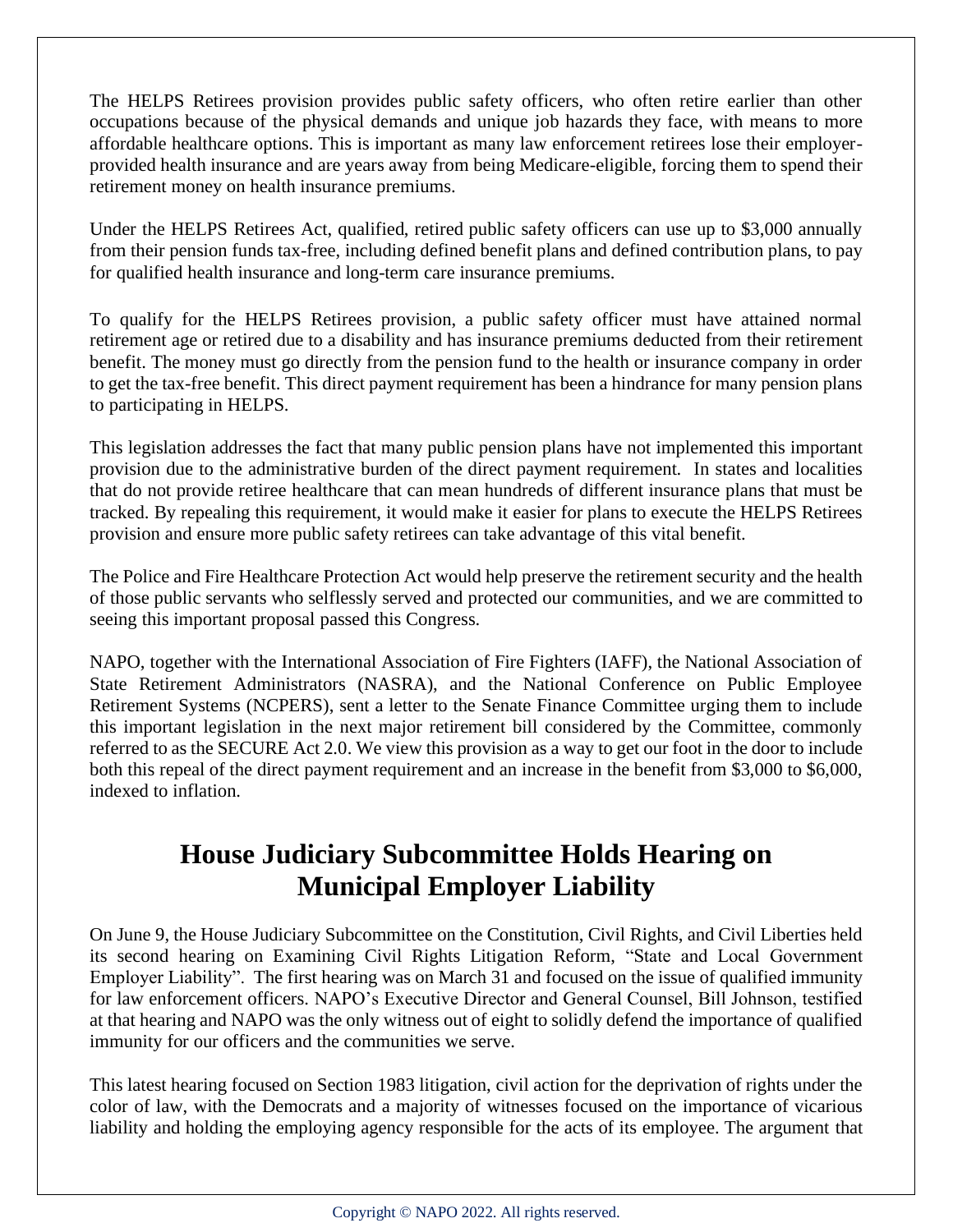The HELPS Retirees provision provides public safety officers, who often retire earlier than other occupations because of the physical demands and unique job hazards they face, with means to more affordable healthcare options. This is important as many law enforcement retirees lose their employerprovided health insurance and are years away from being Medicare-eligible, forcing them to spend their retirement money on health insurance premiums.

Under the HELPS Retirees Act, qualified, retired public safety officers can use up to \$3,000 annually from their pension funds tax-free, including defined benefit plans and defined contribution plans, to pay for qualified health insurance and long-term care insurance premiums.

To qualify for the HELPS Retirees provision, a public safety officer must have attained normal retirement age or retired due to a disability and has insurance premiums deducted from their retirement benefit. The money must go directly from the pension fund to the health or insurance company in order to get the tax-free benefit. This direct payment requirement has been a hindrance for many pension plans to participating in HELPS.

This legislation addresses the fact that many public pension plans have not implemented this important provision due to the administrative burden of the direct payment requirement. In states and localities that do not provide retiree healthcare that can mean hundreds of different insurance plans that must be tracked. By repealing this requirement, it would make it easier for plans to execute the HELPS Retirees provision and ensure more public safety retirees can take advantage of this vital benefit.

The Police and Fire Healthcare Protection Act would help preserve the retirement security and the health of those public servants who selflessly served and protected our communities, and we are committed to seeing this important proposal passed this Congress.

NAPO, together with the International Association of Fire Fighters (IAFF), the National Association of State Retirement Administrators (NASRA), and the National Conference on Public Employee Retirement Systems (NCPERS), sent a letter to the Senate Finance Committee urging them to include this important legislation in the next major retirement bill considered by the Committee, commonly referred to as the SECURE Act 2.0. We view this provision as a way to get our foot in the door to include both this repeal of the direct payment requirement and an increase in the benefit from \$3,000 to \$6,000, indexed to inflation.

#### **House Judiciary Subcommittee Holds Hearing on Municipal Employer Liability**

On June 9, the House Judiciary Subcommittee on the Constitution, Civil Rights, and Civil Liberties held its second hearing on Examining Civil Rights Litigation Reform, "State and Local Government Employer Liability". The first hearing was on March 31 and focused on the issue of qualified immunity for law enforcement officers. NAPO's Executive Director and General Counsel, Bill Johnson, testified at that hearing and NAPO was the only witness out of eight to solidly defend the importance of qualified immunity for our officers and the communities we serve.

This latest hearing focused on Section 1983 litigation, civil action for the deprivation of rights under the color of law, with the Democrats and a majority of witnesses focused on the importance of vicarious liability and holding the employing agency responsible for the acts of its employee. The argument that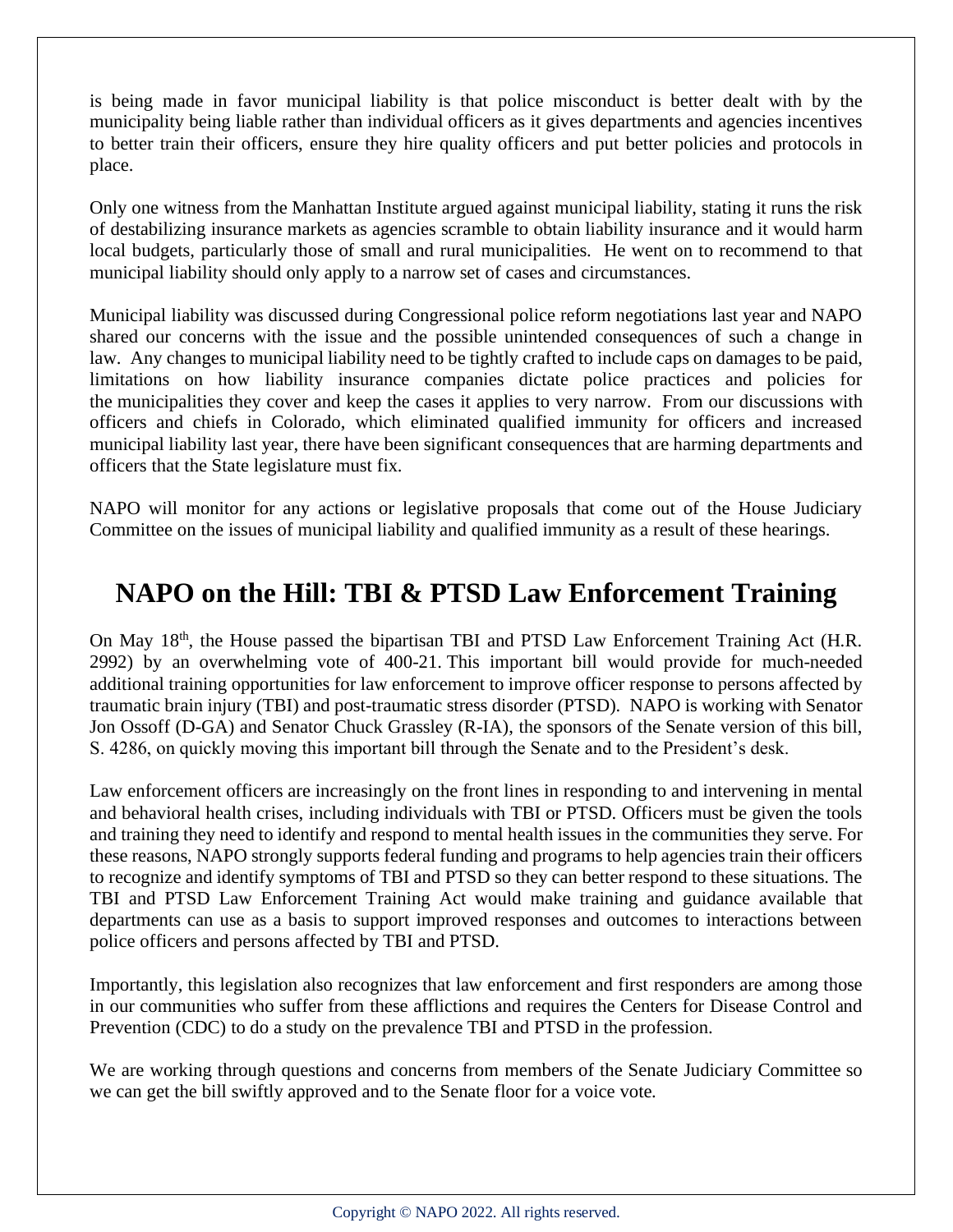is being made in favor municipal liability is that police misconduct is better dealt with by the municipality being liable rather than individual officers as it gives departments and agencies incentives to better train their officers, ensure they hire quality officers and put better policies and protocols in place.

Only one witness from the Manhattan Institute argued against municipal liability, stating it runs the risk of destabilizing insurance markets as agencies scramble to obtain liability insurance and it would harm local budgets, particularly those of small and rural municipalities. He went on to recommend to that municipal liability should only apply to a narrow set of cases and circumstances.

Municipal liability was discussed during Congressional police reform negotiations last year and NAPO shared our concerns with the issue and the possible unintended consequences of such a change in law. Any changes to municipal liability need to be tightly crafted to include caps on damages to be paid, limitations on how liability insurance companies dictate police practices and policies for the municipalities they cover and keep the cases it applies to very narrow. From our discussions with officers and chiefs in Colorado, which eliminated qualified immunity for officers and increased municipal liability last year, there have been significant consequences that are harming departments and officers that the State legislature must fix.

NAPO will monitor for any actions or legislative proposals that come out of the House Judiciary Committee on the issues of municipal liability and qualified immunity as a result of these hearings.

#### **NAPO on the Hill: TBI & PTSD Law Enforcement Training**

On May 18<sup>th</sup>, the House passed the bipartisan TBI and PTSD Law Enforcement Training Act (H.R. 2992) by an overwhelming vote of 400-21. This important bill would provide for much-needed additional training opportunities for law enforcement to improve officer response to persons affected by traumatic brain injury (TBI) and post-traumatic stress disorder (PTSD). NAPO is working with Senator Jon Ossoff (D-GA) and Senator Chuck Grassley (R-IA), the sponsors of the Senate version of this bill, S. 4286, on quickly moving this important bill through the Senate and to the President's desk.

Law enforcement officers are increasingly on the front lines in responding to and intervening in mental and behavioral health crises, including individuals with TBI or PTSD. Officers must be given the tools and training they need to identify and respond to mental health issues in the communities they serve. For these reasons, NAPO strongly supports federal funding and programs to help agencies train their officers to recognize and identify symptoms of TBI and PTSD so they can better respond to these situations. The TBI and PTSD Law Enforcement Training Act would make training and guidance available that departments can use as a basis to support improved responses and outcomes to interactions between police officers and persons affected by TBI and PTSD.

Importantly, this legislation also recognizes that law enforcement and first responders are among those in our communities who suffer from these afflictions and requires the Centers for Disease Control and Prevention (CDC) to do a study on the prevalence TBI and PTSD in the profession.

We are working through questions and concerns from members of the Senate Judiciary Committee so we can get the bill swiftly approved and to the Senate floor for a voice vote.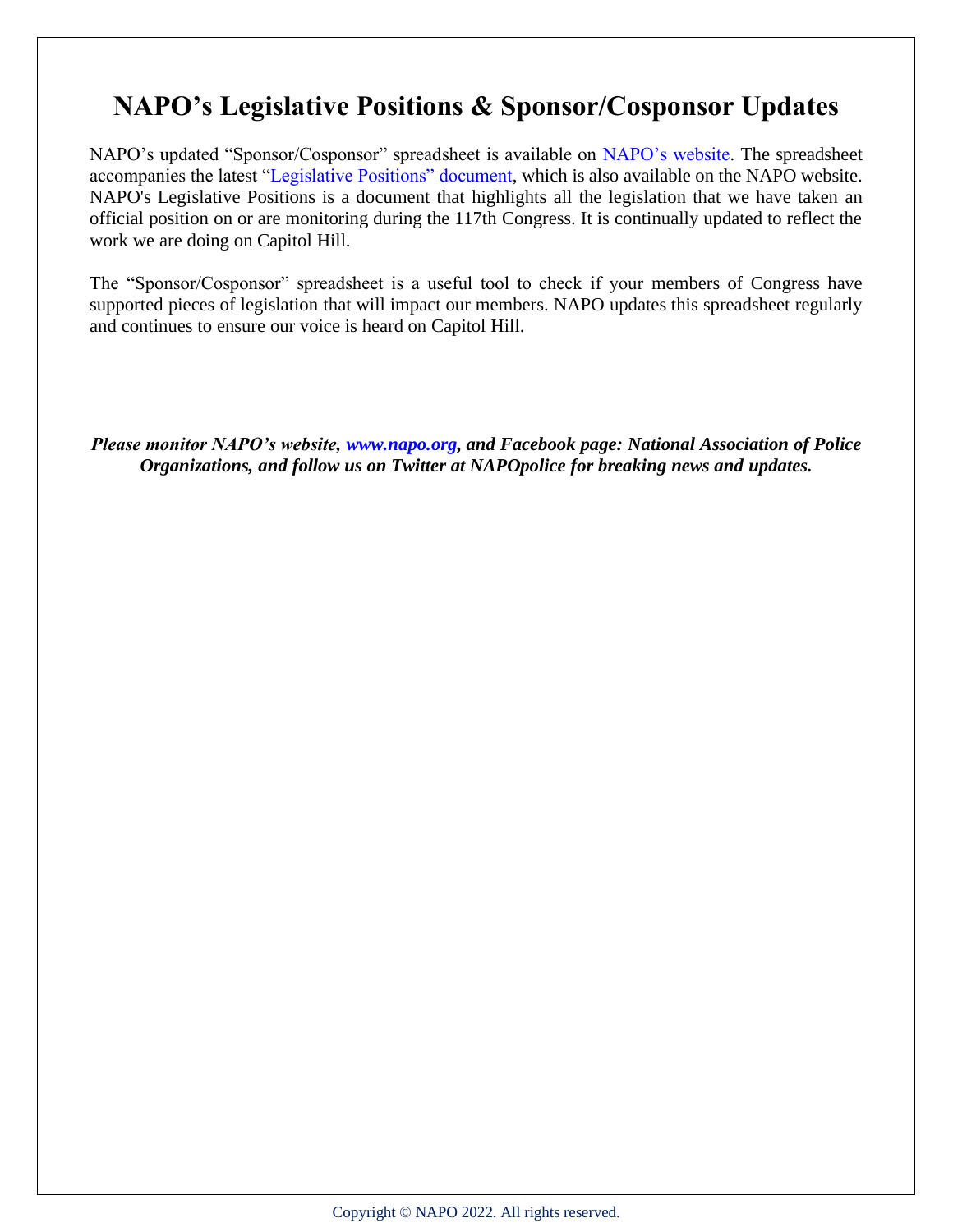### **NAPO's Legislative Positions & Sponsor/Cosponsor Updates**

NAPO's updated "Sponsor/Cosponsor" spreadsheet is available on NAPO's website. The spreadsheet accompanies the latest "Legislative Positions" document, which is also available on the NAPO website. NAPO's Legislative Positions is a document that highlights all the legislation that we have taken an official position on or are monitoring during the 117th Congress. It is continually updated to reflect the work we are doing on Capitol Hill.

The "Sponsor/Cosponsor" spreadsheet is a useful tool to check if your members of Congress have supported pieces of legislation that will impact our members. NAPO updates this spreadsheet regularly and continues to ensure our voice is heard on Capitol Hill.

*Please monitor NAPO's website, www.napo.org, and Facebook page: National Association of Police Organizations, and follow us on Twitter at NAPOpolice for breaking news and updates.*